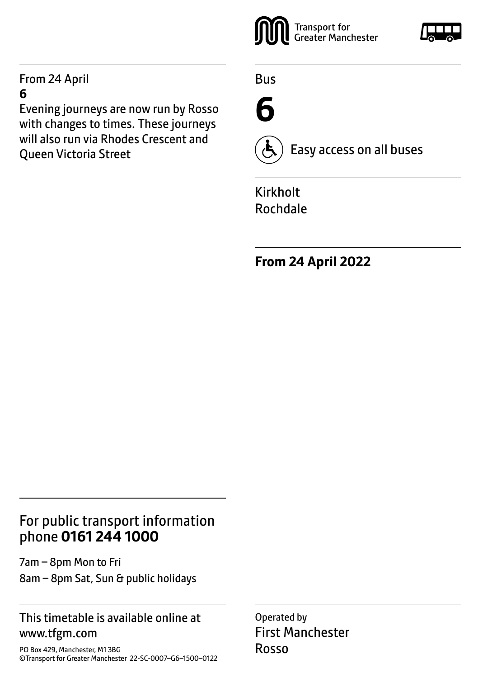#### From 24 April **6**

Evening journeys are now run by Rosso with changes to times. These journeys will also run via Rhodes Crescent and Queen Victoria Street



Bus

**6**



Easy access on all buses

Kirkholt Rochdale

**From 24 April 2022**

## For public transport information phone **0161 244 1000**

7am – 8pm Mon to Fri 8am – 8pm Sat, Sun & public holidays

#### This timetable is available online at www.tfgm.com

PO Box 429, Manchester, M1 3BG ©Transport for Greater Manchester 22-SC-0007–G6–1500–0122 Operated by First Manchester Rosso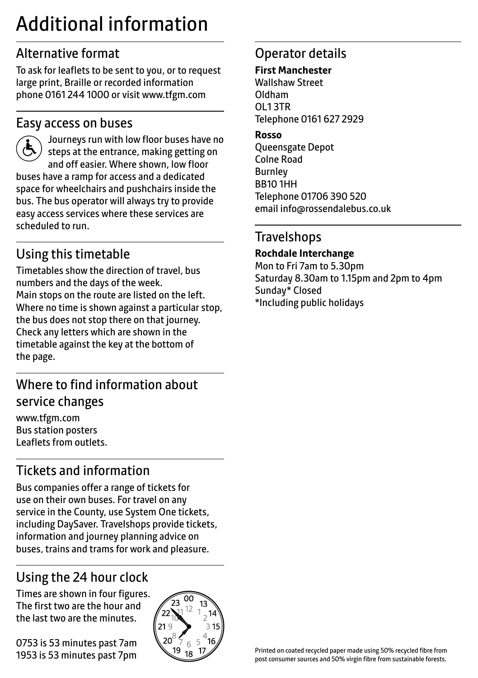# Additional information

# Alternative format

To ask for leaflets to be sent to you, or to request large print, Braille or recorded information phone 0161 244 1000 or visit www.tfgm.com

#### Easy access on buses



 Journeys run with low floor buses have no steps at the entrance, making getting on and off easier. Where shown, low floor buses have a ramp for access and a dedicated space for wheelchairs and pushchairs inside the bus. The bus operator will always try to provide easy access services where these services are scheduled to run.

# Using this timetable

Timetables show the direction of travel, bus numbers and the days of the week. Main stops on the route are listed on the left. Where no time is shown against a particular stop, the bus does not stop there on that journey. Check any letters which are shown in the timetable against the key at the bottom of the page.

# Where to find information about service changes

www.tfgm.com Bus station posters Leaflets from outlets.

# Tickets and information

Bus companies offer a range of tickets for use on their own buses. For travel on any service in the County, use System One tickets, including DaySaver. Travelshops provide tickets, information and journey planning advice on buses, trains and trams for work and pleasure.

# Using the 24 hour clock

Times are shown in four figures. The first two are the hour and the last two are the minutes.

0753 is 53 minutes past 7am 1953 is 53 minutes past 7pm



# Operator details

#### **First Manchester**

Wallshaw Street Oldham OL1 3TR Telephone 0161 627 2929

#### **Rosso**

Queensgate Depot Colne Road Burnley BB10 1HH Telephone 01706 390 520 email info@rossendalebus.co.uk

### **Travelshops**

**Rochdale Interchange**

Mon to Fri 7am to 5.30pm Saturday 8.30am to 1.15pm and 2pm to 4pm Sunday\* Closed \*Including public holidays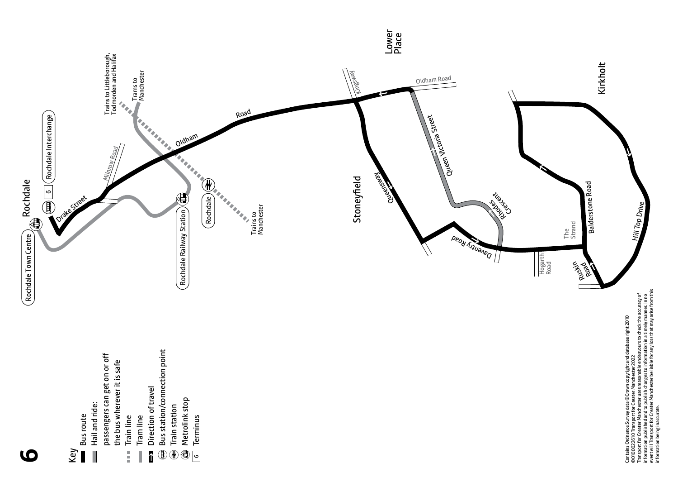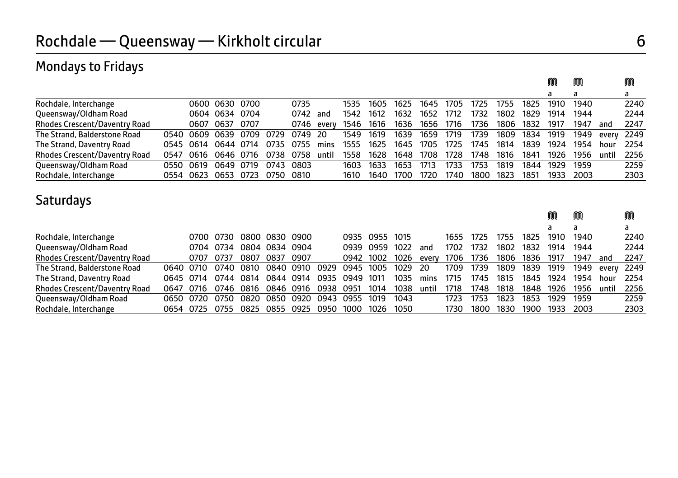### Mondays to Fridays

|                                      |       |                          |                |           |           |            |      |           |                          |      |      |      |           |      | a    |      |                 | a    |
|--------------------------------------|-------|--------------------------|----------------|-----------|-----------|------------|------|-----------|--------------------------|------|------|------|-----------|------|------|------|-----------------|------|
| Rochdale, Interchange                |       |                          | 0600 0630 0700 |           | 0735      |            | 1535 | 1605      | 1625                     | 1645 | 1705 | 1725 | 1755      | 1825 | 1910 | 1940 |                 | 2240 |
| Queensway/Oldham Road                |       |                          | 0604 0634 0704 |           | 0742      | and        | 1542 | 1612      | 1632                     | 1652 | 1712 | 1732 | 1802      | 1829 | 1914 | 1944 |                 | 2244 |
| <b>Rhodes Crescent/Daventry Road</b> |       |                          | 0607 0637 0707 |           |           | 0746 everv |      |           | 1546 1616 1636 1656 1716 |      |      | 1736 | 1806 1832 |      | 1917 | 1947 | and             | 2247 |
| The Strand, Balderstone Road         |       | 0540 0609 0639 0709 0729 |                |           | 0749 20   |            |      | 1549 1619 | 1639 1659 1719           |      |      | 1739 | 1809      | 1834 | 1919 |      | 1949 every 2249 |      |
| The Strand, Daventry Road            |       | 0545 0614 0644 0714      |                | 0735      | 0755      | mins       | 1555 | 1625      | 1645 1705                |      | 1725 | 1745 | 1814      | 1839 | 1924 | 1954 | hour            | 2254 |
| <b>Rhodes Crescent/Daventry Road</b> | 0547  | 0616 0646 0716           |                | 0738      | 0758      | until      | 1558 | 1628      | 1648 1708                |      | 1728 | 1748 | 1816      | 1841 | 1926 | 1956 | until           | 2256 |
| Queensway/Oldham Road                | 0550. | 0619                     | 0649 0719      |           | 0743 0803 |            | 1603 | 1633      | 1653                     | 1713 | 1733 | 1753 | 1819      | 1844 | 1929 | 1959 |                 | 2259 |
| Rochdale, Interchange                |       | 0554 0623 0653 0723      |                | 0750 0810 |           |            | 1610 | 1640      | 1700                     | 1720 | 1740 | 1800 | 1823      | 1851 | 1933 | 2003 |                 | 2303 |

M M M

## Saturdays

|                                      |           |                     |                |           |      |           |                   |                |      |       |      |      |      |      | M    | M    |       | M    |
|--------------------------------------|-----------|---------------------|----------------|-----------|------|-----------|-------------------|----------------|------|-------|------|------|------|------|------|------|-------|------|
|                                      |           |                     |                |           |      |           |                   |                |      |       |      |      |      |      | a    | a    |       | a    |
| Rochdale, Interchange                |           | 0700 0730           | 0800 0830 0900 |           |      |           |                   | 0935 0955 1015 |      |       | 1655 | 1725 | 1755 | 1825 | 1910 | 1940 |       | 2240 |
| Queensway/Oldham Road                |           | 0704 0734           | 0804 0834 0904 |           |      |           |                   | 0939 0959 1022 |      | and   | 1702 | 1732 | 1802 | 1832 | 1914 | 1944 |       | 2244 |
| Rhodes Crescent/Daventry Road        | 0707 0737 |                     | 0807           | 0837      | 0907 |           |                   | 0942 1002 1026 |      | everv | 1706 | 1736 | 1806 | 1836 | 1917 | 1947 | and   | 2247 |
| The Strand, Balderstone Road         |           | 0640 0710 0740 0810 |                | 0840 0910 |      | 0929      | 0945 1005 1029 20 |                |      |       | 1709 | 1739 | 1809 | 1839 | 1919 | 1949 | everv | 2249 |
| The Strand, Daventry Road            |           | 0645 0714 0744 0814 |                | 0844 0914 |      | 0935      | 0949              | 1011           | 1035 | mins  | 1715 | 1745 | 1815 | 1845 | 1924 | 1954 | hour  | 2254 |
| <b>Rhodes Crescent/Daventry Road</b> |           | 0647 0716 0746 0816 |                | 0846 0916 |      | 0938 0951 |                   | 1014           | 1038 | until | 1718 | 1748 | 1818 | 1848 | 1926 | 1956 | until | 2256 |
| Queensway/Oldham Road                |           | 0650 0720 0750      | 0820.          | 0850      | 0920 |           | 0943 0955         | 1019           | 1043 |       | 1723 | 1753 | 1823 | 1853 | 1929 | 1959 |       | 2259 |
| Rochdale, Interchange                |           | 0654 0725 0755      | 0825           | 0855      | 0925 | 0950      | 1000              | 1026           | 1050 |       | 1730 | 1800 | 1830 | 1900 | 1933 | 2003 |       | 2303 |